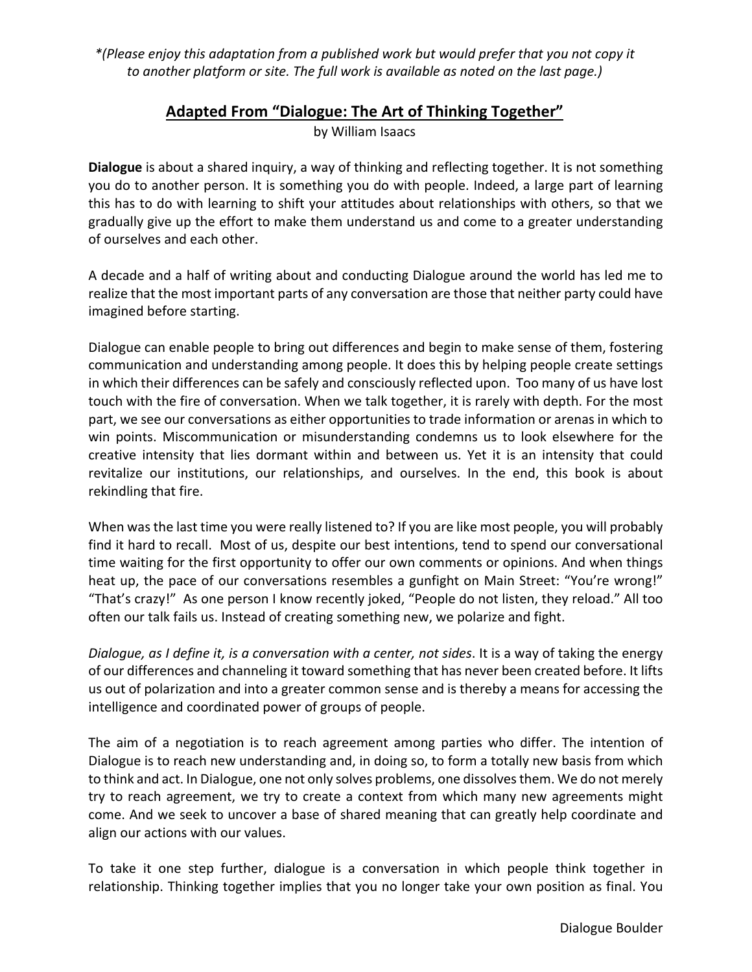*\*(Please enjoy this adaptation from a published work but would prefer that you not copy it to another platform or site. The full work is available as noted on the last page.)*

## **Adapted From "Dialogue: The Art of Thinking Together"**

by William Isaacs

**Dialogue** is about a shared inquiry, a way of thinking and reflecting together. It is not something you do to another person. It is something you do with people. Indeed, a large part of learning this has to do with learning to shift your attitudes about relationships with others, so that we gradually give up the effort to make them understand us and come to a greater understanding of ourselves and each other.

A decade and a half of writing about and conducting Dialogue around the world has led me to realize that the most important parts of any conversation are those that neither party could have imagined before starting.

Dialogue can enable people to bring out differences and begin to make sense of them, fostering communication and understanding among people. It does this by helping people create settings in which their differences can be safely and consciously reflected upon. Too many of us have lost touch with the fire of conversation. When we talk together, it is rarely with depth. For the most part, we see our conversations as either opportunities to trade information or arenas in which to win points. Miscommunication or misunderstanding condemns us to look elsewhere for the creative intensity that lies dormant within and between us. Yet it is an intensity that could revitalize our institutions, our relationships, and ourselves. In the end, this book is about rekindling that fire.

When was the last time you were really listened to? If you are like most people, you will probably find it hard to recall. Most of us, despite our best intentions, tend to spend our conversational time waiting for the first opportunity to offer our own comments or opinions. And when things heat up, the pace of our conversations resembles a gunfight on Main Street: "You're wrong!" "That's crazy!" As one person I know recently joked, "People do not listen, they reload." All too often our talk fails us. Instead of creating something new, we polarize and fight.

*Dialogue, as I define it, is a conversation with a center, not sides*. It is a way of taking the energy of our differences and channeling it toward something that has never been created before. It lifts us out of polarization and into a greater common sense and is thereby a means for accessing the intelligence and coordinated power of groups of people.

The aim of a negotiation is to reach agreement among parties who differ. The intention of Dialogue is to reach new understanding and, in doing so, to form a totally new basis from which to think and act. In Dialogue, one not only solves problems, one dissolves them. We do not merely try to reach agreement, we try to create a context from which many new agreements might come. And we seek to uncover a base of shared meaning that can greatly help coordinate and align our actions with our values.

To take it one step further, dialogue is a conversation in which people think together in relationship. Thinking together implies that you no longer take your own position as final. You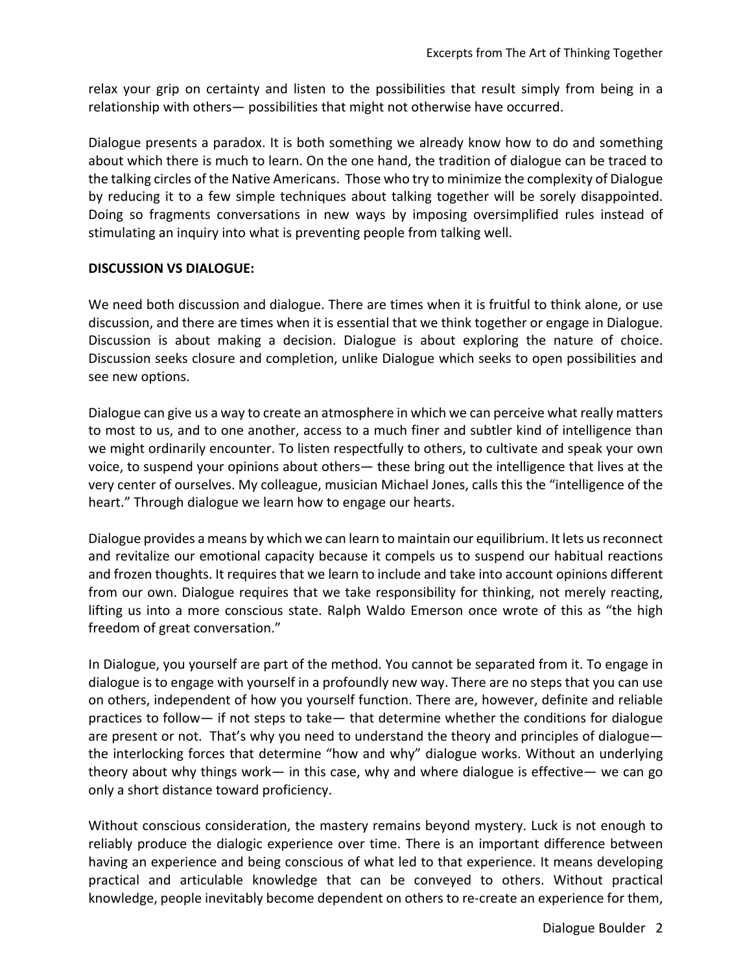relax your grip on certainty and listen to the possibilities that result simply from being in a relationship with others— possibilities that might not otherwise have occurred.

Dialogue presents a paradox. It is both something we already know how to do and something about which there is much to learn. On the one hand, the tradition of dialogue can be traced to the talking circles of the Native Americans. Those who try to minimize the complexity of Dialogue by reducing it to a few simple techniques about talking together will be sorely disappointed. Doing so fragments conversations in new ways by imposing oversimplified rules instead of stimulating an inquiry into what is preventing people from talking well.

#### **DISCUSSION VS DIALOGUE:**

We need both discussion and dialogue. There are times when it is fruitful to think alone, or use discussion, and there are times when it is essential that we think together or engage in Dialogue. Discussion is about making a decision. Dialogue is about exploring the nature of choice. Discussion seeks closure and completion, unlike Dialogue which seeks to open possibilities and see new options.

Dialogue can give us a way to create an atmosphere in which we can perceive what really matters to most to us, and to one another, access to a much finer and subtler kind of intelligence than we might ordinarily encounter. To listen respectfully to others, to cultivate and speak your own voice, to suspend your opinions about others— these bring out the intelligence that lives at the very center of ourselves. My colleague, musician Michael Jones, calls this the "intelligence of the heart." Through dialogue we learn how to engage our hearts.

Dialogue provides a means by which we can learn to maintain our equilibrium. It lets us reconnect and revitalize our emotional capacity because it compels us to suspend our habitual reactions and frozen thoughts. It requires that we learn to include and take into account opinions different from our own. Dialogue requires that we take responsibility for thinking, not merely reacting, lifting us into a more conscious state. Ralph Waldo Emerson once wrote of this as "the high freedom of great conversation."

In Dialogue, you yourself are part of the method. You cannot be separated from it. To engage in dialogue is to engage with yourself in a profoundly new way. There are no steps that you can use on others, independent of how you yourself function. There are, however, definite and reliable practices to follow— if not steps to take— that determine whether the conditions for dialogue are present or not. That's why you need to understand the theory and principles of dialogue the interlocking forces that determine "how and why" dialogue works. Without an underlying theory about why things work— in this case, why and where dialogue is effective— we can go only a short distance toward proficiency.

Without conscious consideration, the mastery remains beyond mystery. Luck is not enough to reliably produce the dialogic experience over time. There is an important difference between having an experience and being conscious of what led to that experience. It means developing practical and articulable knowledge that can be conveyed to others. Without practical knowledge, people inevitably become dependent on others to re-create an experience for them,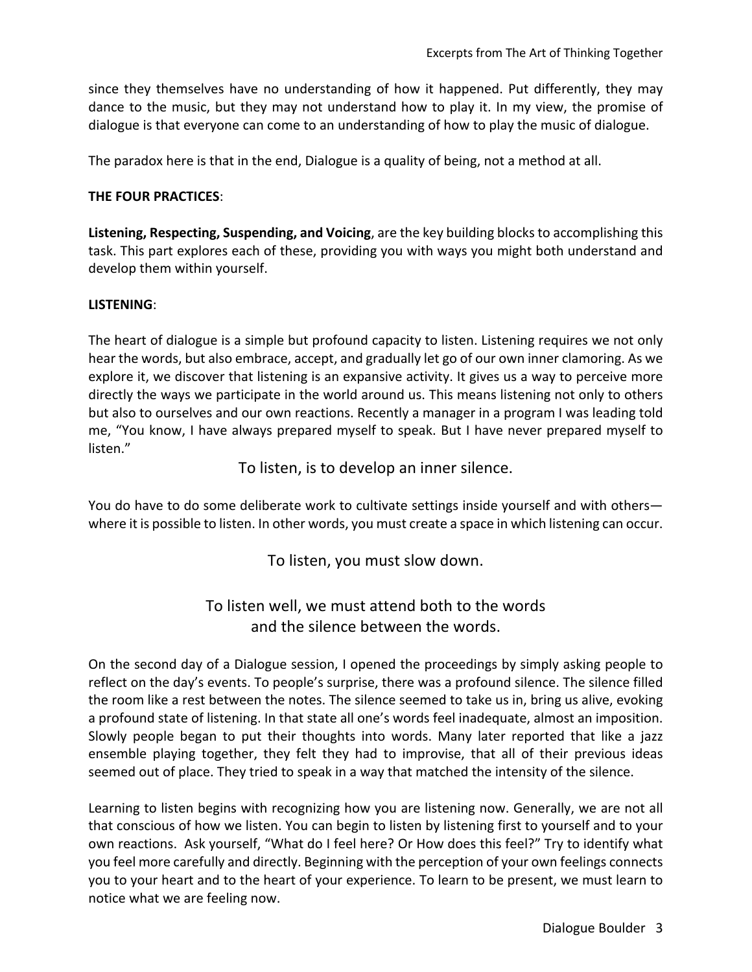since they themselves have no understanding of how it happened. Put differently, they may dance to the music, but they may not understand how to play it. In my view, the promise of dialogue is that everyone can come to an understanding of how to play the music of dialogue.

The paradox here is that in the end, Dialogue is a quality of being, not a method at all.

#### **THE FOUR PRACTICES**:

**Listening, Respecting, Suspending, and Voicing**, are the key building blocks to accomplishing this task. This part explores each of these, providing you with ways you might both understand and develop them within yourself.

### **LISTENING**:

The heart of dialogue is a simple but profound capacity to listen. Listening requires we not only hear the words, but also embrace, accept, and gradually let go of our own inner clamoring. As we explore it, we discover that listening is an expansive activity. It gives us a way to perceive more directly the ways we participate in the world around us. This means listening not only to others but also to ourselves and our own reactions. Recently a manager in a program I was leading told me, "You know, I have always prepared myself to speak. But I have never prepared myself to listen."

To listen, is to develop an inner silence.

You do have to do some deliberate work to cultivate settings inside yourself and with others where it is possible to listen. In other words, you must create a space in which listening can occur.

To listen, you must slow down.

# To listen well, we must attend both to the words and the silence between the words.

On the second day of a Dialogue session, I opened the proceedings by simply asking people to reflect on the day's events. To people's surprise, there was a profound silence. The silence filled the room like a rest between the notes. The silence seemed to take us in, bring us alive, evoking a profound state of listening. In that state all one's words feel inadequate, almost an imposition. Slowly people began to put their thoughts into words. Many later reported that like a jazz ensemble playing together, they felt they had to improvise, that all of their previous ideas seemed out of place. They tried to speak in a way that matched the intensity of the silence.

Learning to listen begins with recognizing how you are listening now. Generally, we are not all that conscious of how we listen. You can begin to listen by listening first to yourself and to your own reactions. Ask yourself, "What do I feel here? Or How does this feel?" Try to identify what you feel more carefully and directly. Beginning with the perception of your own feelings connects you to your heart and to the heart of your experience. To learn to be present, we must learn to notice what we are feeling now.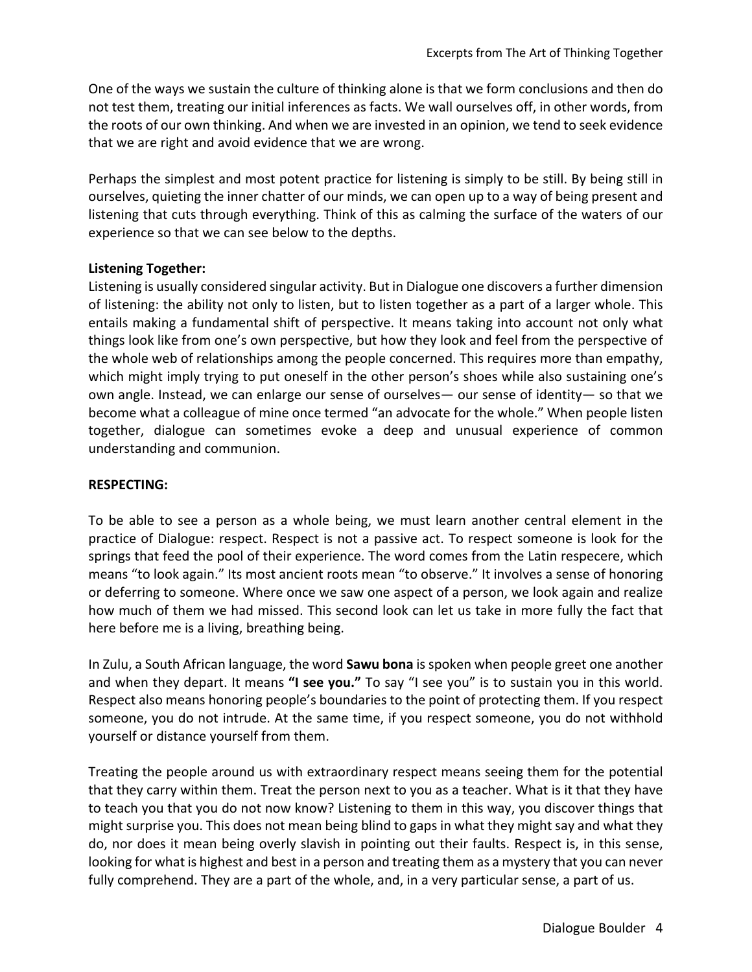One of the ways we sustain the culture of thinking alone is that we form conclusions and then do not test them, treating our initial inferences as facts. We wall ourselves off, in other words, from the roots of our own thinking. And when we are invested in an opinion, we tend to seek evidence that we are right and avoid evidence that we are wrong.

Perhaps the simplest and most potent practice for listening is simply to be still. By being still in ourselves, quieting the inner chatter of our minds, we can open up to a way of being present and listening that cuts through everything. Think of this as calming the surface of the waters of our experience so that we can see below to the depths.

### **Listening Together:**

Listening is usually considered singular activity. But in Dialogue one discovers a further dimension of listening: the ability not only to listen, but to listen together as a part of a larger whole. This entails making a fundamental shift of perspective. It means taking into account not only what things look like from one's own perspective, but how they look and feel from the perspective of the whole web of relationships among the people concerned. This requires more than empathy, which might imply trying to put oneself in the other person's shoes while also sustaining one's own angle. Instead, we can enlarge our sense of ourselves— our sense of identity— so that we become what a colleague of mine once termed "an advocate for the whole." When people listen together, dialogue can sometimes evoke a deep and unusual experience of common understanding and communion.

### **RESPECTING:**

To be able to see a person as a whole being, we must learn another central element in the practice of Dialogue: respect. Respect is not a passive act. To respect someone is look for the springs that feed the pool of their experience. The word comes from the Latin respecere, which means "to look again." Its most ancient roots mean "to observe." It involves a sense of honoring or deferring to someone. Where once we saw one aspect of a person, we look again and realize how much of them we had missed. This second look can let us take in more fully the fact that here before me is a living, breathing being.

In Zulu, a South African language, the word **Sawu bona** is spoken when people greet one another and when they depart. It means **"I see you."** To say "I see you" is to sustain you in this world. Respect also means honoring people's boundaries to the point of protecting them. If you respect someone, you do not intrude. At the same time, if you respect someone, you do not withhold yourself or distance yourself from them.

Treating the people around us with extraordinary respect means seeing them for the potential that they carry within them. Treat the person next to you as a teacher. What is it that they have to teach you that you do not now know? Listening to them in this way, you discover things that might surprise you. This does not mean being blind to gaps in what they might say and what they do, nor does it mean being overly slavish in pointing out their faults. Respect is, in this sense, looking for what is highest and best in a person and treating them as a mystery that you can never fully comprehend. They are a part of the whole, and, in a very particular sense, a part of us.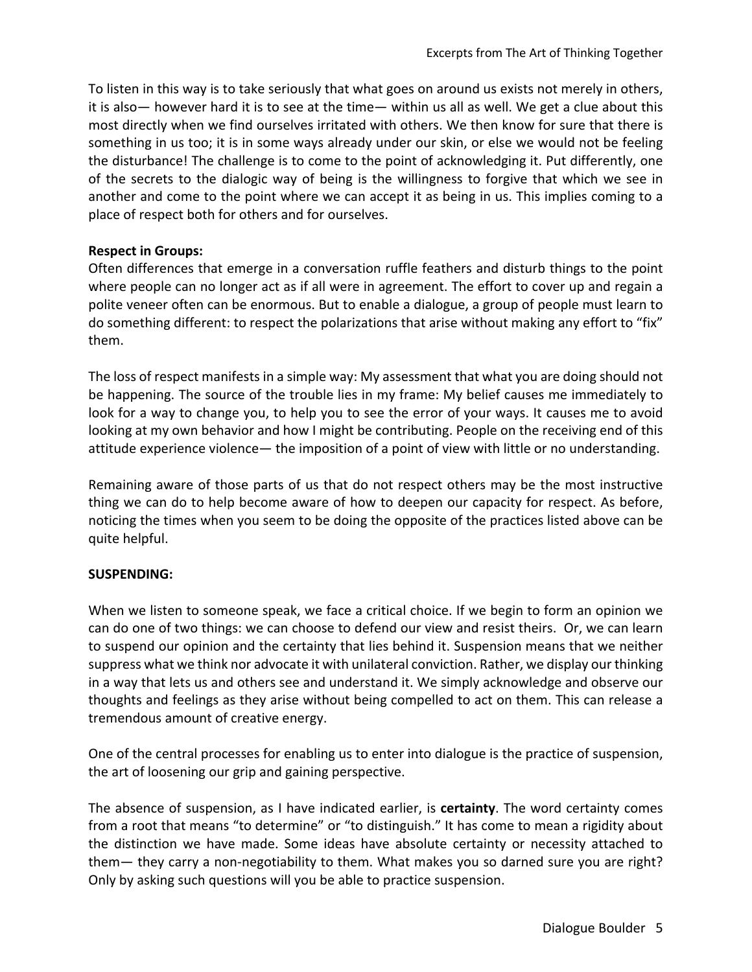To listen in this way is to take seriously that what goes on around us exists not merely in others, it is also— however hard it is to see at the time— within us all as well. We get a clue about this most directly when we find ourselves irritated with others. We then know for sure that there is something in us too; it is in some ways already under our skin, or else we would not be feeling the disturbance! The challenge is to come to the point of acknowledging it. Put differently, one of the secrets to the dialogic way of being is the willingness to forgive that which we see in another and come to the point where we can accept it as being in us. This implies coming to a place of respect both for others and for ourselves.

### **Respect in Groups:**

Often differences that emerge in a conversation ruffle feathers and disturb things to the point where people can no longer act as if all were in agreement. The effort to cover up and regain a polite veneer often can be enormous. But to enable a dialogue, a group of people must learn to do something different: to respect the polarizations that arise without making any effort to "fix" them.

The loss of respect manifests in a simple way: My assessment that what you are doing should not be happening. The source of the trouble lies in my frame: My belief causes me immediately to look for a way to change you, to help you to see the error of your ways. It causes me to avoid looking at my own behavior and how I might be contributing. People on the receiving end of this attitude experience violence— the imposition of a point of view with little or no understanding.

Remaining aware of those parts of us that do not respect others may be the most instructive thing we can do to help become aware of how to deepen our capacity for respect. As before, noticing the times when you seem to be doing the opposite of the practices listed above can be quite helpful.

## **SUSPENDING:**

When we listen to someone speak, we face a critical choice. If we begin to form an opinion we can do one of two things: we can choose to defend our view and resist theirs. Or, we can learn to suspend our opinion and the certainty that lies behind it. Suspension means that we neither suppress what we think nor advocate it with unilateral conviction. Rather, we display our thinking in a way that lets us and others see and understand it. We simply acknowledge and observe our thoughts and feelings as they arise without being compelled to act on them. This can release a tremendous amount of creative energy.

One of the central processes for enabling us to enter into dialogue is the practice of suspension, the art of loosening our grip and gaining perspective.

The absence of suspension, as I have indicated earlier, is **certainty**. The word certainty comes from a root that means "to determine" or "to distinguish." It has come to mean a rigidity about the distinction we have made. Some ideas have absolute certainty or necessity attached to them— they carry a non-negotiability to them. What makes you so darned sure you are right? Only by asking such questions will you be able to practice suspension.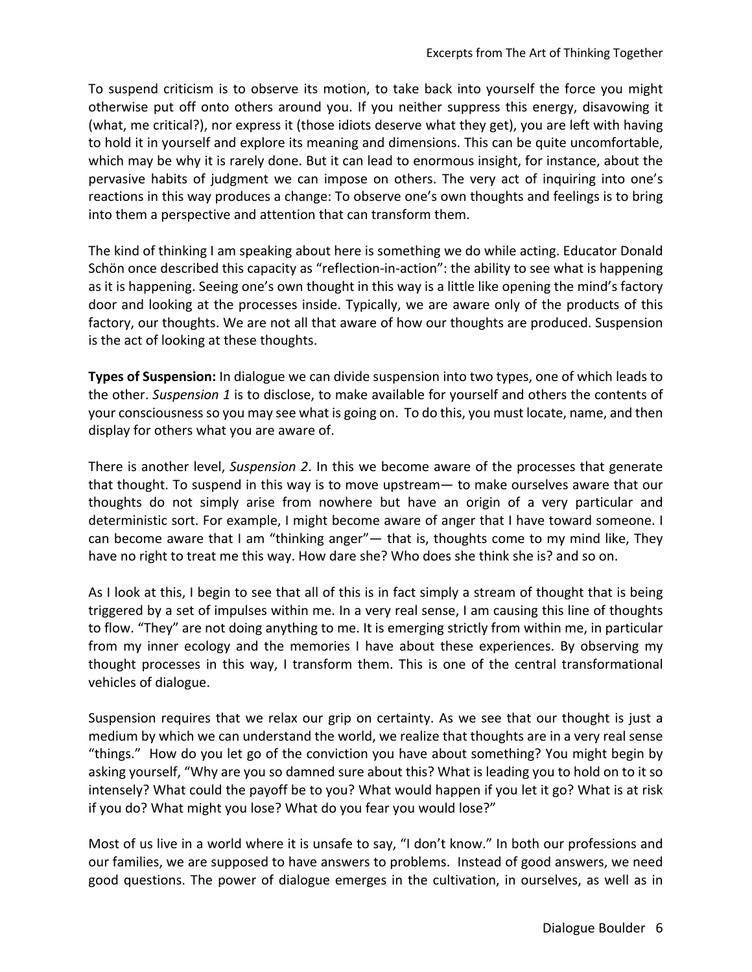To suspend criticism is to observe its motion, to take back into yourself the force you might otherwise put off onto others around you. If you neither suppress this energy, disavowing it (what, me critical?), nor express it (those idiots deserve what they get), you are left with having to hold it in yourself and explore its meaning and dimensions. This can be quite uncomfortable, which may be why it is rarely done. But it can lead to enormous insight, for instance, about the pervasive habits of judgment we can impose on others. The very act of inquiring into one's reactions in this way produces a change: To observe one's own thoughts and feelings is to bring into them a perspective and attention that can transform them.

The kind of thinking I am speaking about here is something we do while acting. Educator Donald Schön once described this capacity as "reflection-in-action": the ability to see what is happening as it is happening. Seeing one's own thought in this way is a little like opening the mind's factory door and looking at the processes inside. Typically, we are aware only of the products of this factory, our thoughts. We are not all that aware of how our thoughts are produced. Suspension is the act of looking at these thoughts.

**Types of Suspension:** In dialogue we can divide suspension into two types, one of which leads to the other. *Suspension 1* is to disclose, to make available for yourself and others the contents of your consciousness so you may see what is going on. To do this, you must locate, name, and then display for others what you are aware of.

There is another level, *Suspension 2*. In this we become aware of the processes that generate that thought. To suspend in this way is to move upstream— to make ourselves aware that our thoughts do not simply arise from nowhere but have an origin of a very particular and deterministic sort. For example, I might become aware of anger that I have toward someone. I can become aware that I am "thinking anger"— that is, thoughts come to my mind like, They have no right to treat me this way. How dare she? Who does she think she is? and so on.

As I look at this, I begin to see that all of this is in fact simply a stream of thought that is being triggered by a set of impulses within me. In a very real sense, I am causing this line of thoughts to flow. "They" are not doing anything to me. It is emerging strictly from within me, in particular from my inner ecology and the memories I have about these experiences. By observing my thought processes in this way, I transform them. This is one of the central transformational vehicles of dialogue.

Suspension requires that we relax our grip on certainty. As we see that our thought is just a medium by which we can understand the world, we realize that thoughts are in a very real sense "things." How do you let go of the conviction you have about something? You might begin by asking yourself, "Why are you so damned sure about this? What is leading you to hold on to it so intensely? What could the payoff be to you? What would happen if you let it go? What is at risk if you do? What might you lose? What do you fear you would lose?"

Most of us live in a world where it is unsafe to say, "I don't know." In both our professions and our families, we are supposed to have answers to problems. Instead of good answers, we need good questions. The power of dialogue emerges in the cultivation, in ourselves, as well as in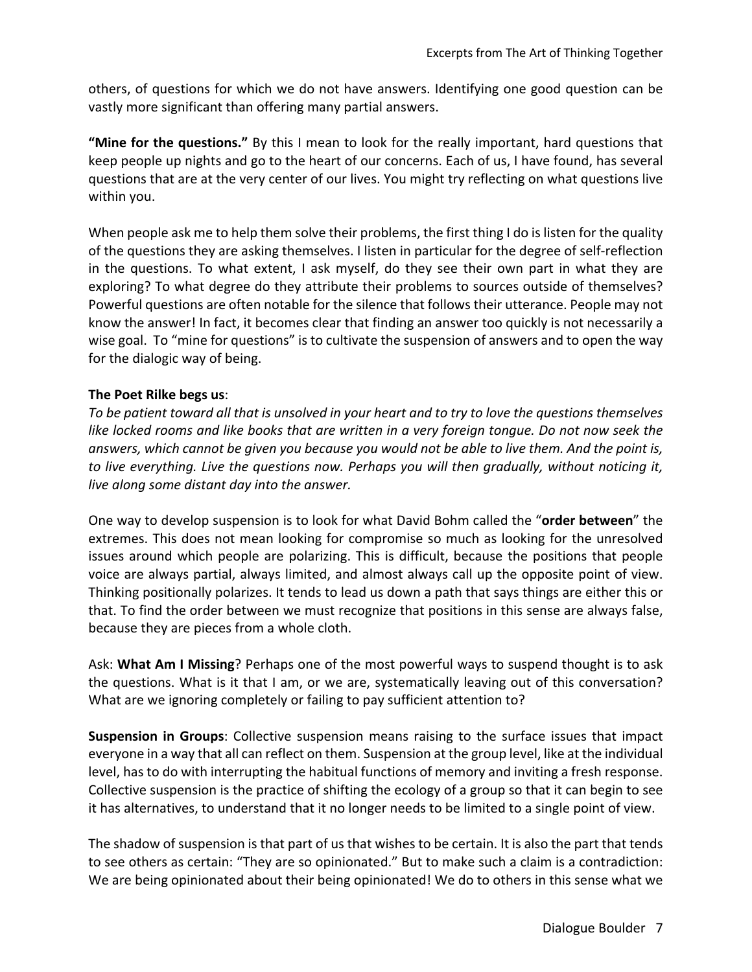others, of questions for which we do not have answers. Identifying one good question can be vastly more significant than offering many partial answers.

**"Mine for the questions."** By this I mean to look for the really important, hard questions that keep people up nights and go to the heart of our concerns. Each of us, I have found, has several questions that are at the very center of our lives. You might try reflecting on what questions live within you.

When people ask me to help them solve their problems, the first thing I do is listen for the quality of the questions they are asking themselves. I listen in particular for the degree of self-reflection in the questions. To what extent, I ask myself, do they see their own part in what they are exploring? To what degree do they attribute their problems to sources outside of themselves? Powerful questions are often notable for the silence that follows their utterance. People may not know the answer! In fact, it becomes clear that finding an answer too quickly is not necessarily a wise goal. To "mine for questions" is to cultivate the suspension of answers and to open the way for the dialogic way of being.

### **The Poet Rilke begs us**:

*To be patient toward all that is unsolved in your heart and to try to love the questions themselves like locked rooms and like books that are written in a very foreign tongue. Do not now seek the answers, which cannot be given you because you would not be able to live them. And the point is, to live everything. Live the questions now. Perhaps you will then gradually, without noticing it, live along some distant day into the answer.*

One way to develop suspension is to look for what David Bohm called the "**order between**" the extremes. This does not mean looking for compromise so much as looking for the unresolved issues around which people are polarizing. This is difficult, because the positions that people voice are always partial, always limited, and almost always call up the opposite point of view. Thinking positionally polarizes. It tends to lead us down a path that says things are either this or that. To find the order between we must recognize that positions in this sense are always false, because they are pieces from a whole cloth.

Ask: **What Am I Missing**? Perhaps one of the most powerful ways to suspend thought is to ask the questions. What is it that I am, or we are, systematically leaving out of this conversation? What are we ignoring completely or failing to pay sufficient attention to?

**Suspension in Groups**: Collective suspension means raising to the surface issues that impact everyone in a way that all can reflect on them. Suspension at the group level, like at the individual level, has to do with interrupting the habitual functions of memory and inviting a fresh response. Collective suspension is the practice of shifting the ecology of a group so that it can begin to see it has alternatives, to understand that it no longer needs to be limited to a single point of view.

The shadow of suspension is that part of us that wishes to be certain. It is also the part that tends to see others as certain: "They are so opinionated." But to make such a claim is a contradiction: We are being opinionated about their being opinionated! We do to others in this sense what we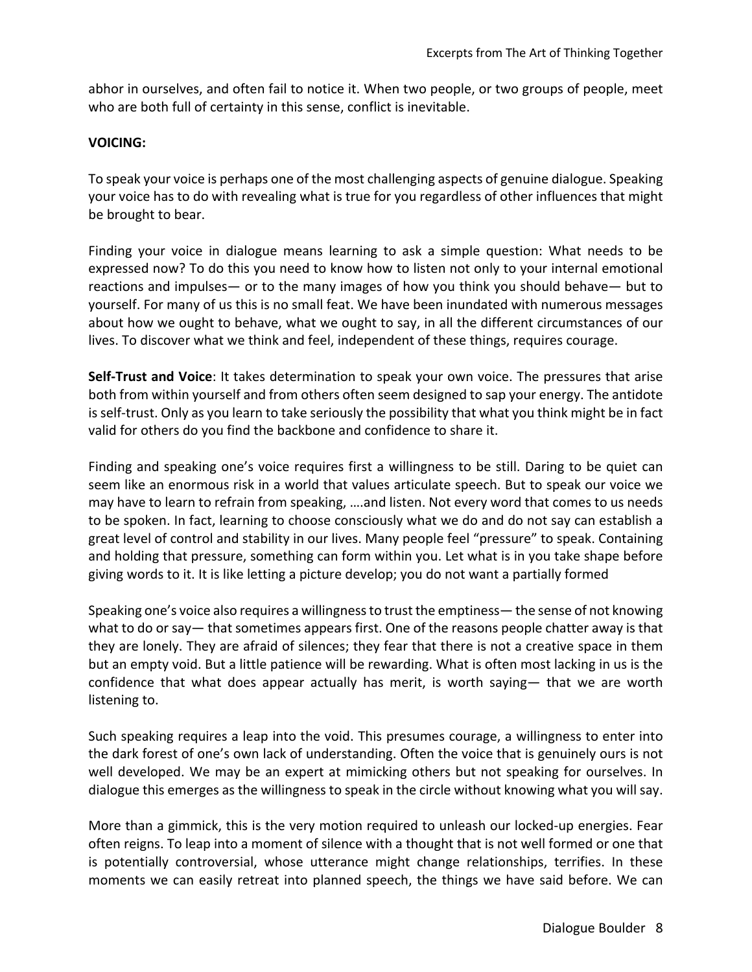abhor in ourselves, and often fail to notice it. When two people, or two groups of people, meet who are both full of certainty in this sense, conflict is inevitable.

### **VOICING:**

To speak your voice is perhaps one of the most challenging aspects of genuine dialogue. Speaking your voice has to do with revealing what is true for you regardless of other influences that might be brought to bear.

Finding your voice in dialogue means learning to ask a simple question: What needs to be expressed now? To do this you need to know how to listen not only to your internal emotional reactions and impulses— or to the many images of how you think you should behave— but to yourself. For many of us this is no small feat. We have been inundated with numerous messages about how we ought to behave, what we ought to say, in all the different circumstances of our lives. To discover what we think and feel, independent of these things, requires courage.

**Self-Trust and Voice**: It takes determination to speak your own voice. The pressures that arise both from within yourself and from others often seem designed to sap your energy. The antidote is self-trust. Only as you learn to take seriously the possibility that what you think might be in fact valid for others do you find the backbone and confidence to share it.

Finding and speaking one's voice requires first a willingness to be still. Daring to be quiet can seem like an enormous risk in a world that values articulate speech. But to speak our voice we may have to learn to refrain from speaking, ….and listen. Not every word that comes to us needs to be spoken. In fact, learning to choose consciously what we do and do not say can establish a great level of control and stability in our lives. Many people feel "pressure" to speak. Containing and holding that pressure, something can form within you. Let what is in you take shape before giving words to it. It is like letting a picture develop; you do not want a partially formed

Speaking one's voice also requires a willingness to trust the emptiness— the sense of not knowing what to do or say— that sometimes appears first. One of the reasons people chatter away is that they are lonely. They are afraid of silences; they fear that there is not a creative space in them but an empty void. But a little patience will be rewarding. What is often most lacking in us is the confidence that what does appear actually has merit, is worth saying— that we are worth listening to.

Such speaking requires a leap into the void. This presumes courage, a willingness to enter into the dark forest of one's own lack of understanding. Often the voice that is genuinely ours is not well developed. We may be an expert at mimicking others but not speaking for ourselves. In dialogue this emerges as the willingness to speak in the circle without knowing what you will say.

More than a gimmick, this is the very motion required to unleash our locked-up energies. Fear often reigns. To leap into a moment of silence with a thought that is not well formed or one that is potentially controversial, whose utterance might change relationships, terrifies. In these moments we can easily retreat into planned speech, the things we have said before. We can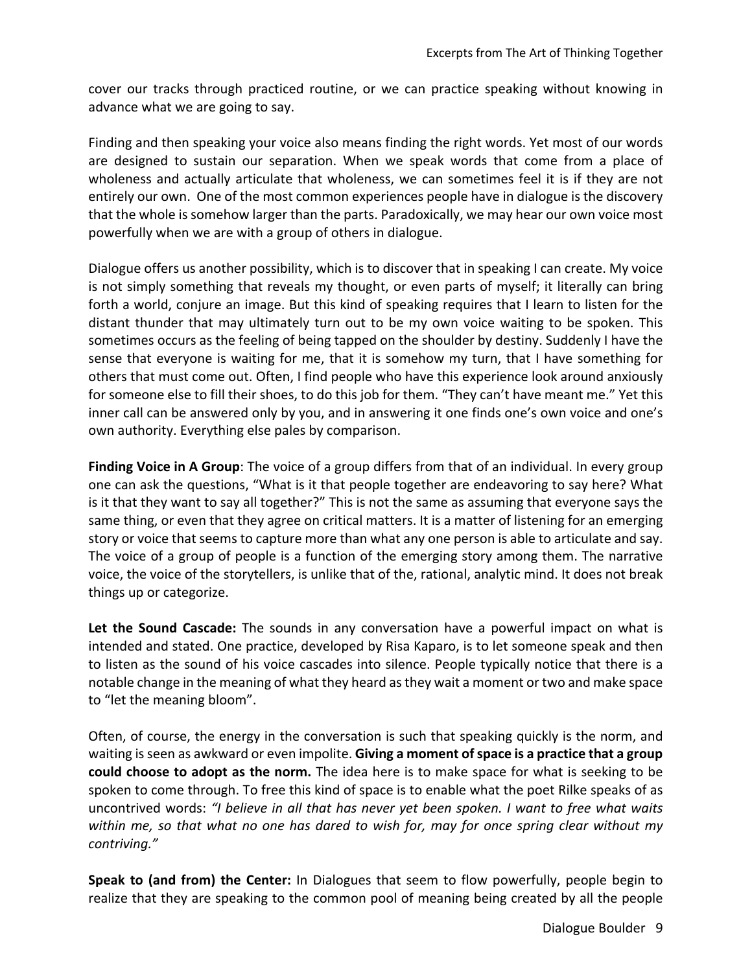cover our tracks through practiced routine, or we can practice speaking without knowing in advance what we are going to say.

Finding and then speaking your voice also means finding the right words. Yet most of our words are designed to sustain our separation. When we speak words that come from a place of wholeness and actually articulate that wholeness, we can sometimes feel it is if they are not entirely our own. One of the most common experiences people have in dialogue is the discovery that the whole is somehow larger than the parts. Paradoxically, we may hear our own voice most powerfully when we are with a group of others in dialogue.

Dialogue offers us another possibility, which is to discover that in speaking I can create. My voice is not simply something that reveals my thought, or even parts of myself; it literally can bring forth a world, conjure an image. But this kind of speaking requires that I learn to listen for the distant thunder that may ultimately turn out to be my own voice waiting to be spoken. This sometimes occurs as the feeling of being tapped on the shoulder by destiny. Suddenly I have the sense that everyone is waiting for me, that it is somehow my turn, that I have something for others that must come out. Often, I find people who have this experience look around anxiously for someone else to fill their shoes, to do this job for them. "They can't have meant me." Yet this inner call can be answered only by you, and in answering it one finds one's own voice and one's own authority. Everything else pales by comparison.

**Finding Voice in A Group**: The voice of a group differs from that of an individual. In every group one can ask the questions, "What is it that people together are endeavoring to say here? What is it that they want to say all together?" This is not the same as assuming that everyone says the same thing, or even that they agree on critical matters. It is a matter of listening for an emerging story or voice that seems to capture more than what any one person is able to articulate and say. The voice of a group of people is a function of the emerging story among them. The narrative voice, the voice of the storytellers, is unlike that of the, rational, analytic mind. It does not break things up or categorize.

**Let the Sound Cascade:** The sounds in any conversation have a powerful impact on what is intended and stated. One practice, developed by Risa Kaparo, is to let someone speak and then to listen as the sound of his voice cascades into silence. People typically notice that there is a notable change in the meaning of what they heard as they wait a moment or two and make space to "let the meaning bloom".

Often, of course, the energy in the conversation is such that speaking quickly is the norm, and waiting is seen as awkward or even impolite. **Giving a moment of space is a practice that a group could choose to adopt as the norm.** The idea here is to make space for what is seeking to be spoken to come through. To free this kind of space is to enable what the poet Rilke speaks of as uncontrived words: *"I believe in all that has never yet been spoken. I want to free what waits within me, so that what no one has dared to wish for, may for once spring clear without my contriving."*

**Speak to (and from) the Center:** In Dialogues that seem to flow powerfully, people begin to realize that they are speaking to the common pool of meaning being created by all the people